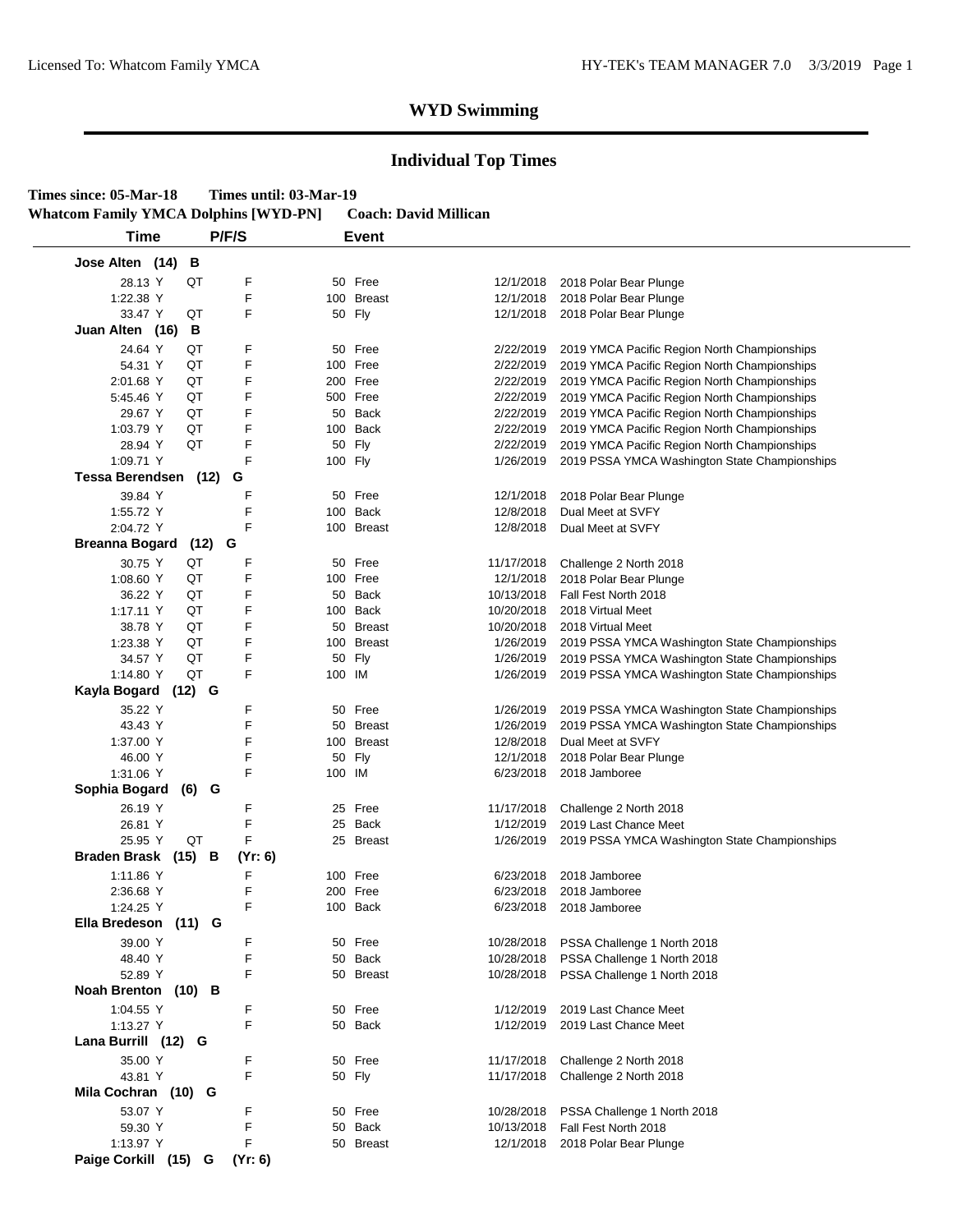| Times since: 05-Mar-18                       | Times until: 03-Mar-19 |                              |
|----------------------------------------------|------------------------|------------------------------|
| <b>Whatcom Family YMCA Dolphins [WYD-PN]</b> |                        | <b>Coach: David Millican</b> |

| Time                  |          | P/F/S   |         | <b>Event</b>  |            |                                               |
|-----------------------|----------|---------|---------|---------------|------------|-----------------------------------------------|
| Jose Alten (14)       | в        |         |         |               |            |                                               |
| 28.13 Y               | QT       | F       |         | 50 Free       | 12/1/2018  | 2018 Polar Bear Plunge                        |
| 1:22.38 Y             |          | F       |         | 100 Breast    | 12/1/2018  | 2018 Polar Bear Plunge                        |
| 33.47 Y               | QT       | F       |         | 50 Fly        | 12/1/2018  | 2018 Polar Bear Plunge                        |
| Juan Alten (16)       | В        |         |         |               |            |                                               |
| 24.64 Y               | QT       | F       | 50      | Free          | 2/22/2019  | 2019 YMCA Pacific Region North Championships  |
| 54.31 Y               | QT       | F       |         | 100 Free      | 2/22/2019  | 2019 YMCA Pacific Region North Championships  |
| 2:01.68 Y             | QT       | F       |         | 200 Free      | 2/22/2019  | 2019 YMCA Pacific Region North Championships  |
| 5:45.46 Y             | QT       | F       |         | 500 Free      | 2/22/2019  | 2019 YMCA Pacific Region North Championships  |
| 29.67 Y               | QT       | F       |         | 50 Back       | 2/22/2019  | 2019 YMCA Pacific Region North Championships  |
| 1:03.79 Y             | QT       | F       |         | 100 Back      | 2/22/2019  | 2019 YMCA Pacific Region North Championships  |
| 28.94 Y               | QT       | F       |         | 50 Fly        | 2/22/2019  | 2019 YMCA Pacific Region North Championships  |
| 1:09.71 Y             |          | F       | 100 Fly |               | 1/26/2019  | 2019 PSSA YMCA Washington State Championships |
| Tessa Berendsen (12)  |          | G       |         |               |            |                                               |
|                       |          |         |         |               |            |                                               |
| 39.84 Y               |          | F       |         | 50 Free       | 12/1/2018  | 2018 Polar Bear Plunge                        |
| 1:55.72 Y             |          | F       |         | 100 Back      | 12/8/2018  | Dual Meet at SVFY                             |
| 2:04.72 Y             |          | F       |         | 100 Breast    | 12/8/2018  | Dual Meet at SVFY                             |
| <b>Breanna Bogard</b> | $(12)$ G |         |         |               |            |                                               |
| 30.75 Y               | QT       | F       |         | 50 Free       | 11/17/2018 | Challenge 2 North 2018                        |
| 1:08.60 Y             | QT       | F       |         | 100 Free      | 12/1/2018  | 2018 Polar Bear Plunge                        |
| 36.22 Y               | QT       | F       | 50      | Back          | 10/13/2018 | Fall Fest North 2018                          |
| 1:17.11 Y             | QT       | F       |         | 100 Back      | 10/20/2018 | 2018 Virtual Meet                             |
| 38.78 Y               | QT       | F       |         | 50 Breast     | 10/20/2018 | 2018 Virtual Meet                             |
| 1:23.38 Y             | QT       | F       |         | 100 Breast    | 1/26/2019  | 2019 PSSA YMCA Washington State Championships |
| 34.57 Y               | QT       | F       |         | 50 Fly        | 1/26/2019  | 2019 PSSA YMCA Washington State Championships |
| 1:14.80 Y             | QT       | F       | 100 IM  |               | 1/26/2019  | 2019 PSSA YMCA Washington State Championships |
| Kayla Bogard          | $(12)$ G |         |         |               |            |                                               |
| 35.22 Y               |          | F       |         | 50 Free       | 1/26/2019  | 2019 PSSA YMCA Washington State Championships |
| 43.43 Y               |          | F       | 50      | <b>Breast</b> | 1/26/2019  | 2019 PSSA YMCA Washington State Championships |
| 1:37.00 Y             |          | F       |         | 100 Breast    | 12/8/2018  | Dual Meet at SVFY                             |
| 46.00 Y               |          | F       |         | 50 Fly        | 12/1/2018  | 2018 Polar Bear Plunge                        |
| 1:31.06 Y             |          | F       | 100 IM  |               | 6/23/2018  | 2018 Jamboree                                 |
| Sophia Bogard         | $(6)$ G  |         |         |               |            |                                               |
| 26.19 Y               |          | F       | 25      | Free          | 11/17/2018 | Challenge 2 North 2018                        |
| 26.81 Y               |          | F       | 25      | Back          | 1/12/2019  | 2019 Last Chance Meet                         |
| 25.95 Y               | QT       | F       |         | 25 Breast     | 1/26/2019  | 2019 PSSA YMCA Washington State Championships |
| Braden Brask (15) B   |          | (Yr: 6) |         |               |            |                                               |
| 1:11.86 Y             |          | F       |         | 100 Free      | 6/23/2018  | 2018 Jamboree                                 |
| 2:36.68 Y             |          | F       |         | 200 Free      | 6/23/2018  | 2018 Jamboree                                 |
| 1:24.25 Y             |          | F       |         | 100 Back      | 6/23/2018  | 2018 Jamboree                                 |
| Ella Bredeson         | (11)     | G       |         |               |            |                                               |
|                       |          |         |         |               |            |                                               |
| 39.00 Y               |          | F<br>F  |         | 50 Free       | 10/28/2018 | PSSA Challenge 1 North 2018                   |
| 48.40 Y<br>52.89 Y    |          |         |         | 50 Back       | 10/28/2018 | PSSA Challenge 1 North 2018                   |
|                       |          | F       |         | 50 Breast     | 10/28/2018 | PSSA Challenge 1 North 2018                   |
| Noah Brenton (10) B   |          |         |         |               |            |                                               |
| 1:04.55 Y             |          | F       |         | 50 Free       | 1/12/2019  | 2019 Last Chance Meet                         |
| 1:13.27 Y             |          | F       |         | 50 Back       | 1/12/2019  | 2019 Last Chance Meet                         |
| Lana Burrill (12) G   |          |         |         |               |            |                                               |
| 35.00 Y               |          | F       |         | 50 Free       | 11/17/2018 | Challenge 2 North 2018                        |
| 43.81 Y               |          | F       |         | 50 Fly        | 11/17/2018 | Challenge 2 North 2018                        |
| Mila Cochran (10) G   |          |         |         |               |            |                                               |
| 53.07 Y               |          | F       |         | 50 Free       | 10/28/2018 | PSSA Challenge 1 North 2018                   |
|                       |          | F       |         | 50 Back       | 10/13/2018 | Fall Fest North 2018                          |
|                       |          |         |         |               |            |                                               |
| 59.30 Y<br>1:13.97 Y  |          | F       |         | 50 Breast     | 12/1/2018  | 2018 Polar Bear Plunge                        |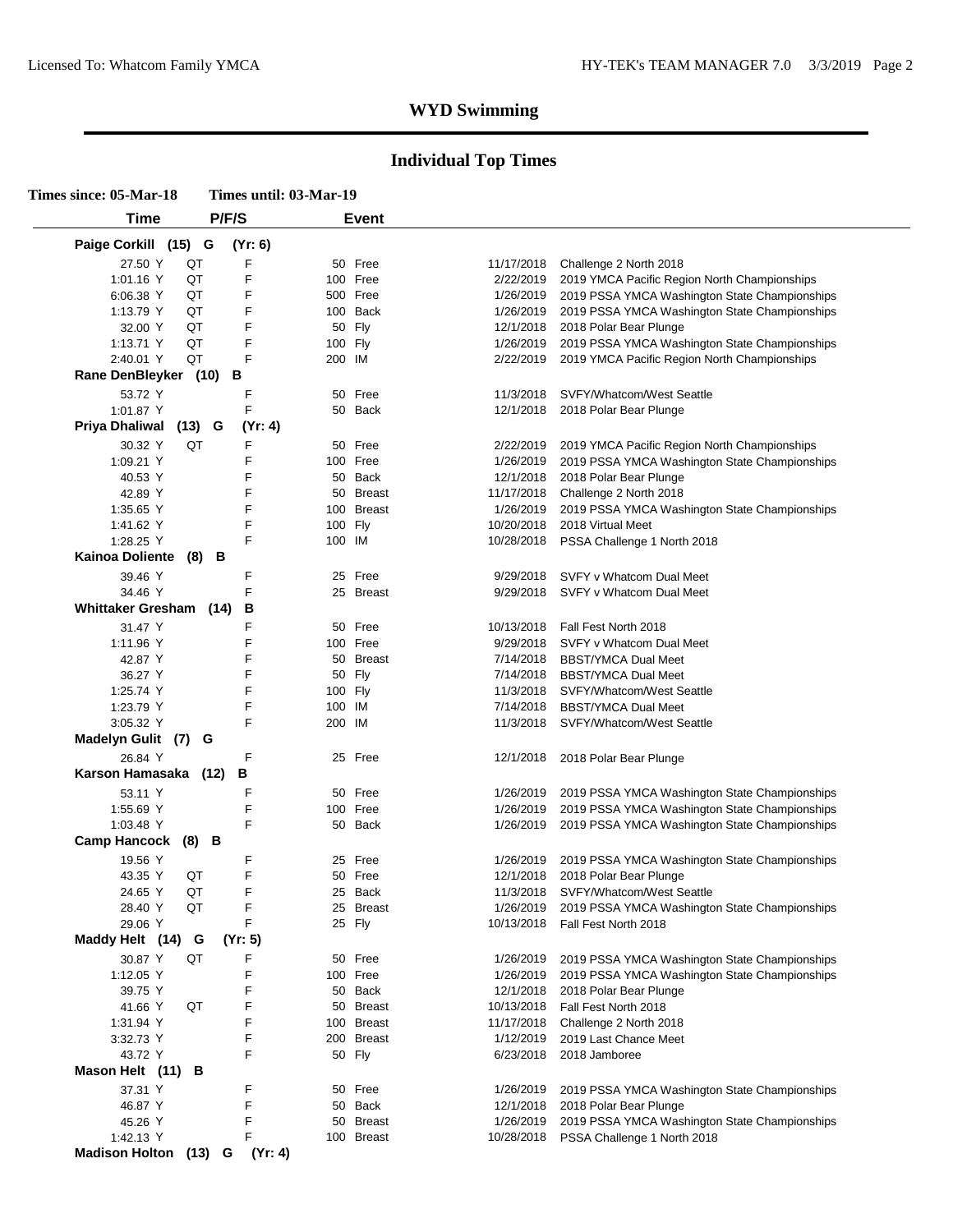| Times since: 05-Mar-18        | Times until: 03-Mar-19 |                                   |            |                                                                                         |  |  |
|-------------------------------|------------------------|-----------------------------------|------------|-----------------------------------------------------------------------------------------|--|--|
| <b>Time</b>                   | P/F/S                  | <b>Event</b>                      |            |                                                                                         |  |  |
| Paige Corkill (15) G          | (Yr: 6)                |                                   |            |                                                                                         |  |  |
| 27.50 Y<br>QT                 | F                      | 50 Free                           | 11/17/2018 | Challenge 2 North 2018                                                                  |  |  |
| QT<br>1:01.16 Y               | F                      | 100 Free                          | 2/22/2019  | 2019 YMCA Pacific Region North Championships                                            |  |  |
| 6:06.38 Y<br>QT               | F                      | 500 Free                          | 1/26/2019  | 2019 PSSA YMCA Washington State Championships                                           |  |  |
| QT<br>1:13.79 Y               | F                      | 100 Back                          | 1/26/2019  | 2019 PSSA YMCA Washington State Championships                                           |  |  |
| QT<br>32.00 Y                 | F                      | 50 Fly                            | 12/1/2018  | 2018 Polar Bear Plunge                                                                  |  |  |
| QT<br>1:13.71 Y               | F                      | 100 Fly                           | 1/26/2019  | 2019 PSSA YMCA Washington State Championships                                           |  |  |
| QT<br>2:40.01 Y               | F                      | 200 IM                            | 2/22/2019  | 2019 YMCA Pacific Region North Championships                                            |  |  |
| Rane DenBleyker (10) B        |                        |                                   |            |                                                                                         |  |  |
|                               |                        |                                   |            |                                                                                         |  |  |
| 53.72 Y                       | F                      | Free<br>50                        | 11/3/2018  | SVFY/Whatcom/West Seattle                                                               |  |  |
| 1:01.87 Y                     | F                      | 50 Back                           | 12/1/2018  | 2018 Polar Bear Plunge                                                                  |  |  |
| Priya Dhaliwal<br>$(13)$ G    | (Yr: 4)                |                                   |            |                                                                                         |  |  |
| 30.32 Y<br>QT                 | F                      | Free<br>50                        | 2/22/2019  | 2019 YMCA Pacific Region North Championships                                            |  |  |
| 1:09.21 Y                     | F                      | 100 Free                          | 1/26/2019  | 2019 PSSA YMCA Washington State Championships                                           |  |  |
| 40.53 Y                       | F                      | 50<br>Back                        | 12/1/2018  | 2018 Polar Bear Plunge                                                                  |  |  |
| 42.89 Y                       | F                      | 50 Breast                         | 11/17/2018 | Challenge 2 North 2018                                                                  |  |  |
| 1:35.65 $Y$                   | F                      | <b>Breast</b><br>100              | 1/26/2019  | 2019 PSSA YMCA Washington State Championships                                           |  |  |
| 1:41.62 Y                     | F                      | 100 Fly                           | 10/20/2018 | 2018 Virtual Meet                                                                       |  |  |
| 1:28.25 Y                     | F                      | 100 IM                            |            | 10/28/2018 PSSA Challenge 1 North 2018                                                  |  |  |
| Kainoa Doliente (8) B         |                        |                                   |            |                                                                                         |  |  |
| 39.46 Y                       | F                      | Free<br>25                        | 9/29/2018  | SVFY v Whatcom Dual Meet                                                                |  |  |
| 34.46 Y                       | F                      | <b>Breast</b><br>25               | 9/29/2018  | SVFY v Whatcom Dual Meet                                                                |  |  |
| <b>Whittaker Gresham (14)</b> | в                      |                                   |            |                                                                                         |  |  |
|                               | F                      | 50 Free                           |            |                                                                                         |  |  |
| 31.47 Y                       |                        |                                   | 10/13/2018 | Fall Fest North 2018                                                                    |  |  |
| 1:11.96 Y                     | F                      | 100 Free                          | 9/29/2018  | SVFY v Whatcom Dual Meet                                                                |  |  |
| 42.87 Y                       | F                      | <b>Breast</b><br>50               | 7/14/2018  | <b>BBST/YMCA Dual Meet</b>                                                              |  |  |
| 36.27 Y                       | F                      | 50 Fly                            | 7/14/2018  | <b>BBST/YMCA Dual Meet</b>                                                              |  |  |
| 1:25.74 Y                     | F                      | 100 Fly                           | 11/3/2018  | SVFY/Whatcom/West Seattle                                                               |  |  |
| 1:23.79 Y                     | F                      | 100 IM                            | 7/14/2018  | <b>BBST/YMCA Dual Meet</b>                                                              |  |  |
| 3:05.32 Y                     | F                      | 200 IM                            | 11/3/2018  | SVFY/Whatcom/West Seattle                                                               |  |  |
| Madelyn Gulit (7)             | G                      |                                   |            |                                                                                         |  |  |
| 26.84 Y                       | F                      | 25 Free                           |            | 12/1/2018 2018 Polar Bear Plunge                                                        |  |  |
| Karson Hamasaka (12)          | в                      |                                   |            |                                                                                         |  |  |
| 53.11 Y                       | F                      | Free<br>50                        | 1/26/2019  | 2019 PSSA YMCA Washington State Championships                                           |  |  |
| 1:55.69 Y                     | F                      | 100 Free                          | 1/26/2019  | 2019 PSSA YMCA Washington State Championships                                           |  |  |
| 1:03.48 Y                     | F                      | 50 Back                           | 1/26/2019  | 2019 PSSA YMCA Washington State Championships                                           |  |  |
| <b>Camp Hancock</b><br>(8) B  |                        |                                   |            |                                                                                         |  |  |
|                               |                        |                                   |            |                                                                                         |  |  |
| 19.56 Y                       | F<br>F                 | Free<br>25                        | 1/26/2019  | 2019 PSSA YMCA Washington State Championships                                           |  |  |
| 43.35 Y<br>QT                 |                        | 50 Free                           | 12/1/2018  | 2018 Polar Bear Plunge                                                                  |  |  |
| QT<br>24.65 Y                 | F                      | Back<br>25                        | 11/3/2018  | SVFY/Whatcom/West Seattle                                                               |  |  |
| QT<br>28.40 Y                 | F                      | 25 Breast                         | 1/26/2019  | 2019 PSSA YMCA Washington State Championships                                           |  |  |
| 29.06 Y                       | F                      | 25 Fly                            | 10/13/2018 | Fall Fest North 2018                                                                    |  |  |
| Maddy Helt (14)<br>G          | (Yr: 5)                |                                   |            |                                                                                         |  |  |
| 30.87 Y<br>QT                 | F                      | Free<br>50                        | 1/26/2019  | 2019 PSSA YMCA Washington State Championships                                           |  |  |
| 1:12.05 Y                     | F                      | 100 Free                          | 1/26/2019  | 2019 PSSA YMCA Washington State Championships                                           |  |  |
| 39.75 Y                       | F                      | Back<br>50                        | 12/1/2018  | 2018 Polar Bear Plunge                                                                  |  |  |
| 41.66 Y<br>QT                 | F                      | 50<br><b>Breast</b>               | 10/13/2018 | Fall Fest North 2018                                                                    |  |  |
| 1:31.94 Y                     | F                      | <b>Breast</b><br>100              | 11/17/2018 | Challenge 2 North 2018                                                                  |  |  |
| 3:32.73 Y                     | F                      | 200 Breast                        | 1/12/2019  | 2019 Last Chance Meet                                                                   |  |  |
| 43.72 Y                       | F                      | 50 Fly                            | 6/23/2018  | 2018 Jamboree                                                                           |  |  |
|                               |                        |                                   |            |                                                                                         |  |  |
| Mason Helt (11) B             |                        |                                   |            |                                                                                         |  |  |
|                               |                        |                                   |            |                                                                                         |  |  |
| 37.31 Y                       | F                      | Free<br>50                        | 1/26/2019  | 2019 PSSA YMCA Washington State Championships                                           |  |  |
| 46.87 Y                       | F                      | <b>Back</b><br>50                 | 12/1/2018  | 2018 Polar Bear Plunge                                                                  |  |  |
| 45.26 Y<br>1:42.13 Y          | F<br>F                 | 50<br><b>Breast</b><br>100 Breast | 1/26/2019  | 2019 PSSA YMCA Washington State Championships<br>10/28/2018 PSSA Challenge 1 North 2018 |  |  |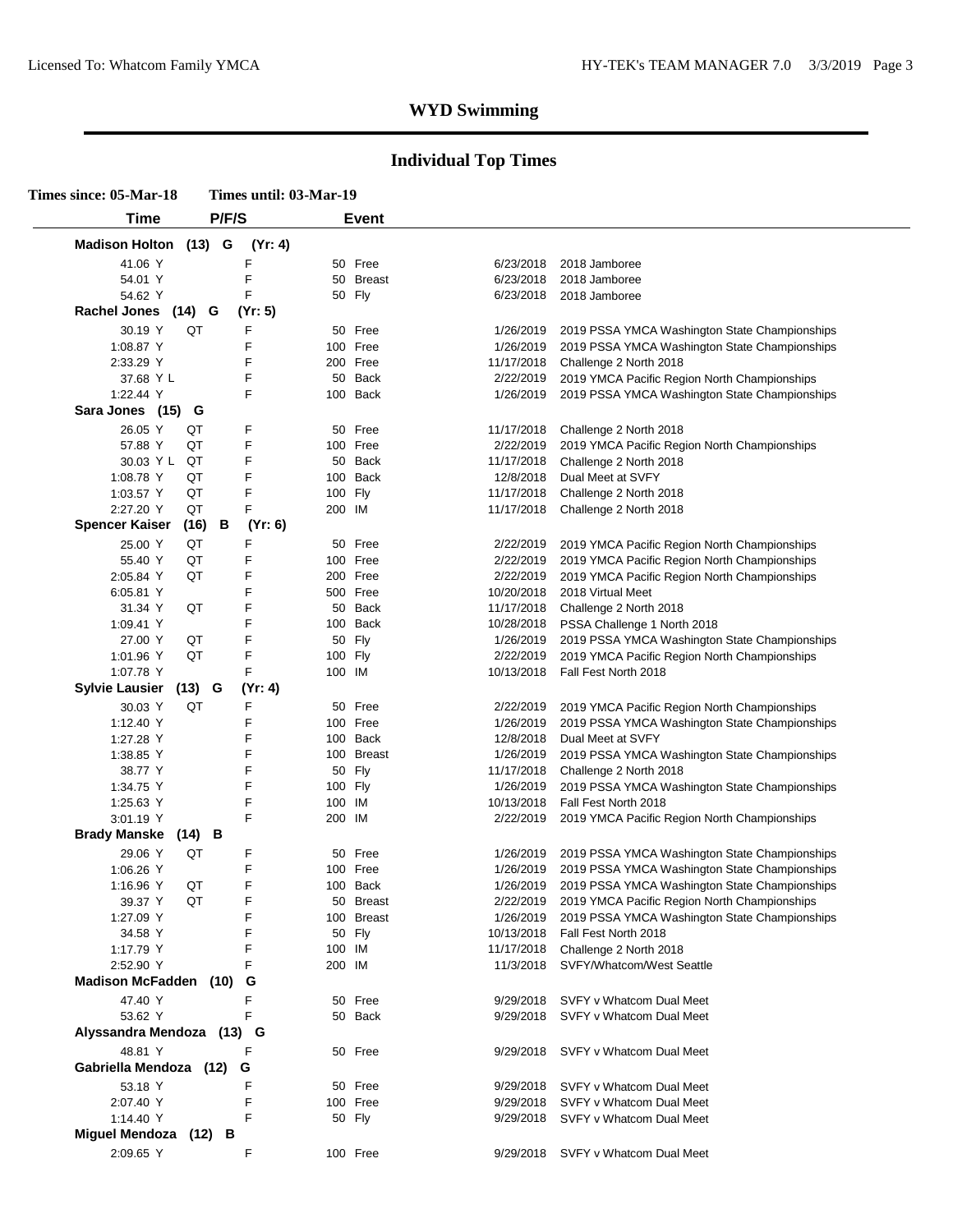| Times since: 05-Mar-18  |           | Times until: 03-Mar-19 |         |              |            |                                                         |
|-------------------------|-----------|------------------------|---------|--------------|------------|---------------------------------------------------------|
| <b>Time</b>             | P/F/S     |                        |         | <b>Event</b> |            |                                                         |
| Madison Holton (13) G   |           | (Yr: 4)                |         |              |            |                                                         |
| 41.06 Y                 |           | F                      |         | 50 Free      | 6/23/2018  | 2018 Jamboree                                           |
| 54.01 Y                 |           | F                      |         | 50 Breast    | 6/23/2018  | 2018 Jamboree                                           |
| 54.62 Y                 |           | F                      |         | 50 Fly       | 6/23/2018  | 2018 Jamboree                                           |
| Rachel Jones (14) G     |           | (Yr: 5)                |         |              |            |                                                         |
|                         |           |                        |         |              |            |                                                         |
| 30.19 Y                 | QT        | F                      | 50      | Free         | 1/26/2019  | 2019 PSSA YMCA Washington State Championships           |
| 1:08.87 Y               |           | F                      |         | 100 Free     | 1/26/2019  | 2019 PSSA YMCA Washington State Championships           |
| 2:33.29 Y               |           | F                      |         | 200 Free     | 11/17/2018 | Challenge 2 North 2018                                  |
| 37.68 Y L               |           | F                      | 50      | Back         | 2/22/2019  | 2019 YMCA Pacific Region North Championships            |
| 1:22.44 Y               |           | F                      | 100     | Back         | 1/26/2019  | 2019 PSSA YMCA Washington State Championships           |
| Sara Jones (15) G       |           |                        |         |              |            |                                                         |
| 26.05 Y                 | QT        | F                      |         | 50 Free      | 11/17/2018 | Challenge 2 North 2018                                  |
| 57.88 Y                 | QT        | F                      |         | 100 Free     | 2/22/2019  | 2019 YMCA Pacific Region North Championships            |
| 30.03 Y L               | QT        | F                      | 50      | Back         | 11/17/2018 | Challenge 2 North 2018                                  |
| 1:08.78 Y               | QT        | F                      |         | 100 Back     | 12/8/2018  | Dual Meet at SVFY                                       |
| 1:03.57 Y               | QT        | F                      | 100 Fly |              | 11/17/2018 | Challenge 2 North 2018                                  |
| 2:27.20 Y               | QT        | F                      | 200 IM  |              | 11/17/2018 | Challenge 2 North 2018                                  |
| <b>Spencer Kaiser</b>   | В<br>(16) | (Yr: 6)                |         |              |            |                                                         |
| 25.00 Y                 | QT        | F                      | 50      | Free         | 2/22/2019  | 2019 YMCA Pacific Region North Championships            |
| 55.40 Y                 | QT        | F                      |         | 100 Free     | 2/22/2019  | 2019 YMCA Pacific Region North Championships            |
|                         | QT        | F                      |         |              |            |                                                         |
| 2:05.84 Y               |           |                        |         | 200 Free     | 2/22/2019  | 2019 YMCA Pacific Region North Championships            |
| 6:05.81 Y               |           | F                      |         | 500 Free     | 10/20/2018 | 2018 Virtual Meet                                       |
| 31.34 Y                 | QT        | F                      |         | 50 Back      | 11/17/2018 | Challenge 2 North 2018                                  |
| 1:09.41 Y               |           | F                      |         | 100 Back     | 10/28/2018 | PSSA Challenge 1 North 2018                             |
| 27.00 Y                 | QT        | F                      |         | 50 Fly       | 1/26/2019  | 2019 PSSA YMCA Washington State Championships           |
| 1:01.96 Y               | QT        | F                      | 100 Fly |              | 2/22/2019  | 2019 YMCA Pacific Region North Championships            |
| 1:07.78 Y               |           | F                      | 100 IM  |              | 10/13/2018 | Fall Fest North 2018                                    |
| <b>Sylvie Lausier</b>   | $(13)$ G  | (Yr: 4)                |         |              |            |                                                         |
| 30.03 Y                 | QT        | F                      | 50      | Free         | 2/22/2019  | 2019 YMCA Pacific Region North Championships            |
| 1:12.40 Y               |           | F                      |         | 100 Free     | 1/26/2019  | 2019 PSSA YMCA Washington State Championships           |
| 1:27.28 Y               |           | F                      |         | 100 Back     | 12/8/2018  | Dual Meet at SVFY                                       |
| 1:38.85 Y               |           | F                      |         | 100 Breast   | 1/26/2019  | 2019 PSSA YMCA Washington State Championships           |
| 38.77 Y                 |           | F                      |         | 50 Fly       | 11/17/2018 | Challenge 2 North 2018                                  |
| 1:34.75 Y               |           | F                      | 100 Fly |              | 1/26/2019  | 2019 PSSA YMCA Washington State Championships           |
| 1:25.63 Y               |           | F                      | 100     | IM           | 10/13/2018 | Fall Fest North 2018                                    |
| 3:01.19 Y               |           | F                      | 200     | IM           | 2/22/2019  | 2019 YMCA Pacific Region North Championships            |
| <b>Brady Manske</b>     | $(14)$ B  |                        |         |              |            |                                                         |
|                         |           |                        |         |              |            |                                                         |
| 29.06 Y                 | QT        | F                      | 50      | Free         | 1/26/2019  | 2019 PSSA YMCA Washington State Championships           |
| 1:06.26 Y               |           | F                      |         | 100 Free     |            | 1/26/2019 2019 PSSA YMCA Washington State Championships |
| 1:16.96 Y               | QT        | F                      |         | 100 Back     | 1/26/2019  | 2019 PSSA YMCA Washington State Championships           |
| 39.37 Y                 | QT        | F                      |         | 50 Breast    | 2/22/2019  | 2019 YMCA Pacific Region North Championships            |
| 1:27.09 Y               |           | F                      |         | 100 Breast   | 1/26/2019  | 2019 PSSA YMCA Washington State Championships           |
| 34.58 Y                 |           | F                      |         | 50 Fly       | 10/13/2018 | Fall Fest North 2018                                    |
| 1:17.79 Y               |           | F                      | 100     | IM           | 11/17/2018 | Challenge 2 North 2018                                  |
| 2:52.90 Y               |           | F                      | 200 IM  |              | 11/3/2018  | SVFY/Whatcom/West Seattle                               |
| <b>Madison McFadden</b> | (10)      | G                      |         |              |            |                                                         |
| 47.40 Y                 |           | F                      | 50      | Free         | 9/29/2018  | SVFY v Whatcom Dual Meet                                |
| 53.62 Y                 |           | F                      |         | 50 Back      | 9/29/2018  | SVFY v Whatcom Dual Meet                                |
| Alyssandra Mendoza      |           | $(13)$ G               |         |              |            |                                                         |
| 48.81 Y                 |           | F                      |         | 50 Free      | 9/29/2018  | SVFY v Whatcom Dual Meet                                |
| Gabriella Mendoza (12)  |           | G                      |         |              |            |                                                         |
|                         |           |                        |         |              |            |                                                         |
| 53.18 Y                 |           | F                      |         | 50 Free      | 9/29/2018  | SVFY v Whatcom Dual Meet                                |
| 2:07.40 Y               |           | F                      |         | 100 Free     | 9/29/2018  | SVFY v Whatcom Dual Meet                                |
| 1:14.40 Y               |           | F                      |         | 50 Fly       |            | 9/29/2018 SVFY v Whatcom Dual Meet                      |
| Miguel Mendoza (12)     | В         |                        |         |              |            |                                                         |
| 2:09.65 Y               |           | F                      |         | 100 Free     |            | 9/29/2018 SVFY v Whatcom Dual Meet                      |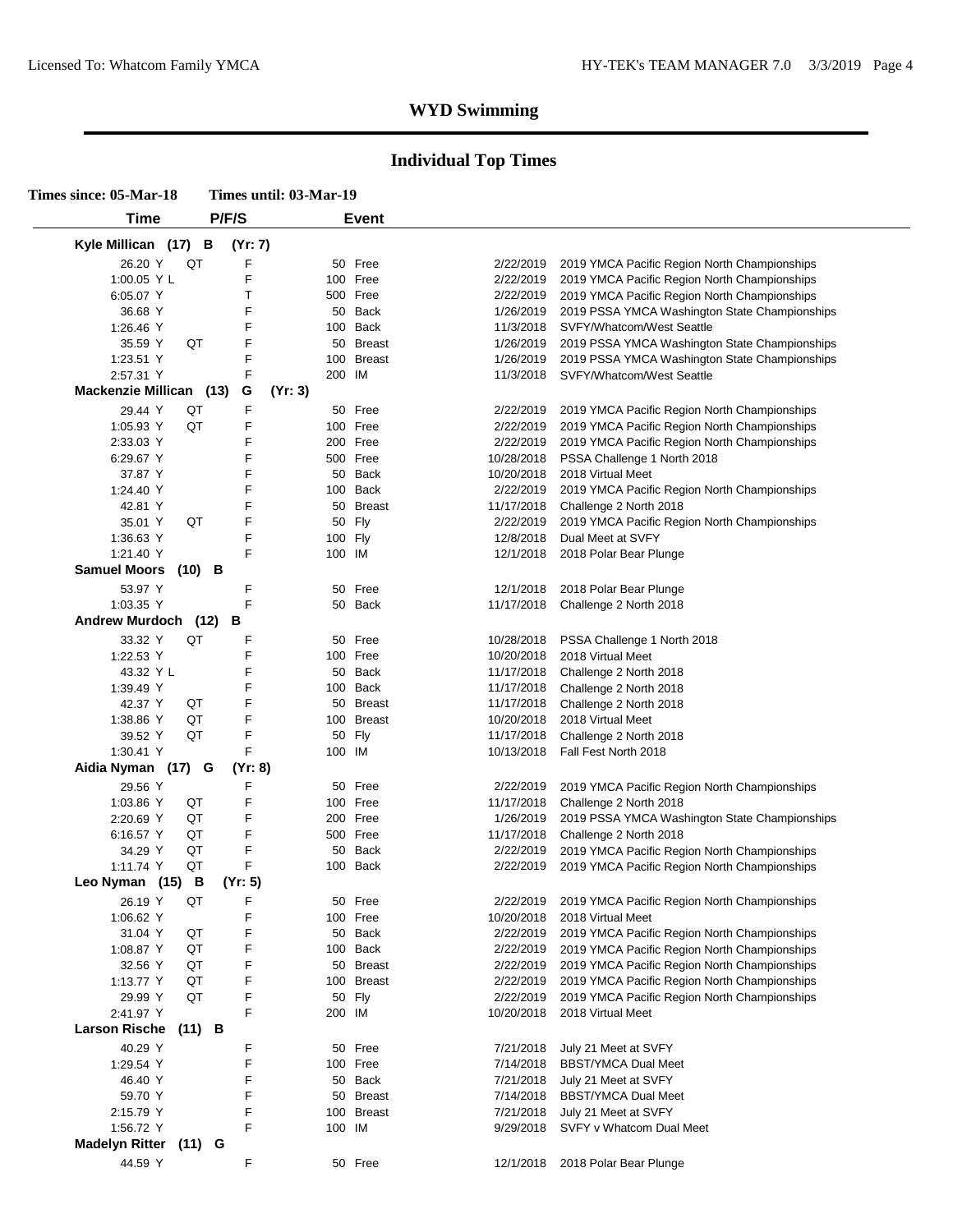| Times since: 05-Mar-18                    | Times until: 03-Mar-19 |                      |            |                                               |  |  |
|-------------------------------------------|------------------------|----------------------|------------|-----------------------------------------------|--|--|
| Time                                      | P/F/S                  | <b>Event</b>         |            |                                               |  |  |
| Kyle Millican (17) B                      | (Yr: 7)                |                      |            |                                               |  |  |
| 26.20 Y<br>QT                             | F                      | 50 Free              | 2/22/2019  | 2019 YMCA Pacific Region North Championships  |  |  |
| 1:00.05 Y L                               | F                      | 100 Free             | 2/22/2019  | 2019 YMCA Pacific Region North Championships  |  |  |
| 6:05.07 Y                                 | Т                      | 500 Free             | 2/22/2019  | 2019 YMCA Pacific Region North Championships  |  |  |
|                                           | F                      |                      |            |                                               |  |  |
| 36.68 Y                                   |                        | 50 Back              | 1/26/2019  | 2019 PSSA YMCA Washington State Championships |  |  |
| 1:26.46 Y                                 | F                      | 100 Back             | 11/3/2018  | SVFY/Whatcom/West Seattle                     |  |  |
| QT<br>35.59 Y                             | F                      | <b>Breast</b><br>50  | 1/26/2019  | 2019 PSSA YMCA Washington State Championships |  |  |
| 1:23.51 Y                                 | F                      | <b>Breast</b><br>100 | 1/26/2019  | 2019 PSSA YMCA Washington State Championships |  |  |
| 2:57.31 Y                                 | F                      | 200 IM               | 11/3/2018  | SVFY/Whatcom/West Seattle                     |  |  |
| Mackenzie Millican (13)                   | (Yr: 3)<br>G           |                      |            |                                               |  |  |
| QT<br>29.44 Y                             | F                      | 50 Free              | 2/22/2019  | 2019 YMCA Pacific Region North Championships  |  |  |
| QT<br>1:05.93 Y                           | F                      | 100 Free             | 2/22/2019  | 2019 YMCA Pacific Region North Championships  |  |  |
| 2:33.03 Y                                 | F                      | 200 Free             | 2/22/2019  | 2019 YMCA Pacific Region North Championships  |  |  |
| 6:29.67 Y                                 | F                      | 500 Free             | 10/28/2018 | PSSA Challenge 1 North 2018                   |  |  |
| 37.87 Y                                   | F                      | 50 Back              | 10/20/2018 | 2018 Virtual Meet                             |  |  |
| 1:24.40 Y                                 | F                      | 100 Back             | 2/22/2019  | 2019 YMCA Pacific Region North Championships  |  |  |
| 42.81 Y                                   | F                      | 50 Breast            | 11/17/2018 | Challenge 2 North 2018                        |  |  |
|                                           |                        |                      |            |                                               |  |  |
| QT<br>35.01 Y                             | F                      | Fly<br>50            | 2/22/2019  | 2019 YMCA Pacific Region North Championships  |  |  |
| 1:36.63 Y                                 | F                      | 100 Fly              | 12/8/2018  | Dual Meet at SVFY                             |  |  |
| 1:21.40 Y                                 | F                      | 100 IM               | 12/1/2018  | 2018 Polar Bear Plunge                        |  |  |
| <b>Samuel Moors</b><br>$(10)$ B           |                        |                      |            |                                               |  |  |
| 53.97 Y                                   | F                      | 50 Free              | 12/1/2018  | 2018 Polar Bear Plunge                        |  |  |
| 1:03.35 Y                                 | F                      | 50 Back              | 11/17/2018 | Challenge 2 North 2018                        |  |  |
| <b>Andrew Murdoch</b>                     | В<br>(12)              |                      |            |                                               |  |  |
| QT<br>33.32 Y                             | F                      | 50<br>Free           | 10/28/2018 | PSSA Challenge 1 North 2018                   |  |  |
| 1:22.53 Y                                 | F                      | 100 Free             | 10/20/2018 | 2018 Virtual Meet                             |  |  |
| 43.32 Y L                                 | F                      | 50 Back              | 11/17/2018 | Challenge 2 North 2018                        |  |  |
|                                           | F                      | 100 Back             | 11/17/2018 |                                               |  |  |
| 1:39.49 Y                                 |                        |                      |            | Challenge 2 North 2018                        |  |  |
| 42.37 Y<br>QT                             | F                      | 50<br><b>Breast</b>  | 11/17/2018 | Challenge 2 North 2018                        |  |  |
| 1:38.86 Y<br>QT                           | F                      | 100 Breast           | 10/20/2018 | 2018 Virtual Meet                             |  |  |
| QT<br>39.52 Y                             | F                      | 50 Fly               | 11/17/2018 | Challenge 2 North 2018                        |  |  |
| 1:30.41 Y                                 | F                      | 100 IM               | 10/13/2018 | Fall Fest North 2018                          |  |  |
| Aidia Nyman (17)                          | (Yr: 8)<br>G           |                      |            |                                               |  |  |
| 29.56 Y                                   | F                      | 50 Free              | 2/22/2019  | 2019 YMCA Pacific Region North Championships  |  |  |
| QT<br>1:03.86 Y                           | F                      | 100 Free             | 11/17/2018 | Challenge 2 North 2018                        |  |  |
| QT<br>2:20.69 Y                           | F                      | 200 Free             | 1/26/2019  | 2019 PSSA YMCA Washington State Championships |  |  |
| 6:16.57 Y<br>QT                           | F                      | 500 Free             | 11/17/2018 | Challenge 2 North 2018                        |  |  |
| QT<br>34.29 Y                             | F                      | Back<br>50           | 2/22/2019  | 2019 YMCA Pacific Region North Championships  |  |  |
| QT<br>1:11.74 Y                           | F                      | 100 Back             |            |                                               |  |  |
| Leo Nyman (15)<br>$\overline{\mathbf{B}}$ | (Yr: 5)                |                      | 2/22/2019  | 2019 YMCA Pacific Region North Championships  |  |  |
|                                           |                        |                      |            |                                               |  |  |
| 26.19 Y<br>QT                             | F                      | 50 Free              | 2/22/2019  | 2019 YMCA Pacific Region North Championships  |  |  |
| 1:06.62 Y                                 | F                      | 100 Free             | 10/20/2018 | 2018 Virtual Meet                             |  |  |
| QT<br>31.04 Y                             | F                      | 50 Back              | 2/22/2019  | 2019 YMCA Pacific Region North Championships  |  |  |
| QT<br>1:08.87 Y                           | F                      | 100 Back             | 2/22/2019  | 2019 YMCA Pacific Region North Championships  |  |  |
| QT<br>32.56 Y                             | F                      | 50 Breast            | 2/22/2019  | 2019 YMCA Pacific Region North Championships  |  |  |
| 1:13.77 Y<br>QT                           | F                      | 100 Breast           | 2/22/2019  | 2019 YMCA Pacific Region North Championships  |  |  |
| QT<br>29.99 Y                             | F                      | 50 Fly               | 2/22/2019  | 2019 YMCA Pacific Region North Championships  |  |  |
|                                           | F                      | 200 IM               |            |                                               |  |  |
| 2:41.97 Y                                 |                        |                      | 10/20/2018 | 2018 Virtual Meet                             |  |  |
| <b>Larson Rische</b>                      | $(11)$ B               |                      |            |                                               |  |  |
| 40.29 Y                                   | F                      | 50 Free              | 7/21/2018  | July 21 Meet at SVFY                          |  |  |
| 1:29.54 Y                                 | F                      | 100 Free             | 7/14/2018  | <b>BBST/YMCA Dual Meet</b>                    |  |  |
| 46.40 Y                                   | F                      | 50 Back              | 7/21/2018  | July 21 Meet at SVFY                          |  |  |
| 59.70 Y                                   | F                      | 50 Breast            | 7/14/2018  | <b>BBST/YMCA Dual Meet</b>                    |  |  |
| 2:15.79 Y                                 | F                      | 100 Breast           | 7/21/2018  | July 21 Meet at SVFY                          |  |  |
| 1:56.72 Y                                 | F                      | 100 IM               | 9/29/2018  | SVFY v Whatcom Dual Meet                      |  |  |
|                                           |                        |                      |            |                                               |  |  |
| <b>Madelyn Ritter</b>                     | $(11)$ G               |                      |            |                                               |  |  |
| 44.59 Y                                   | F                      | 50 Free              | 12/1/2018  | 2018 Polar Bear Plunge                        |  |  |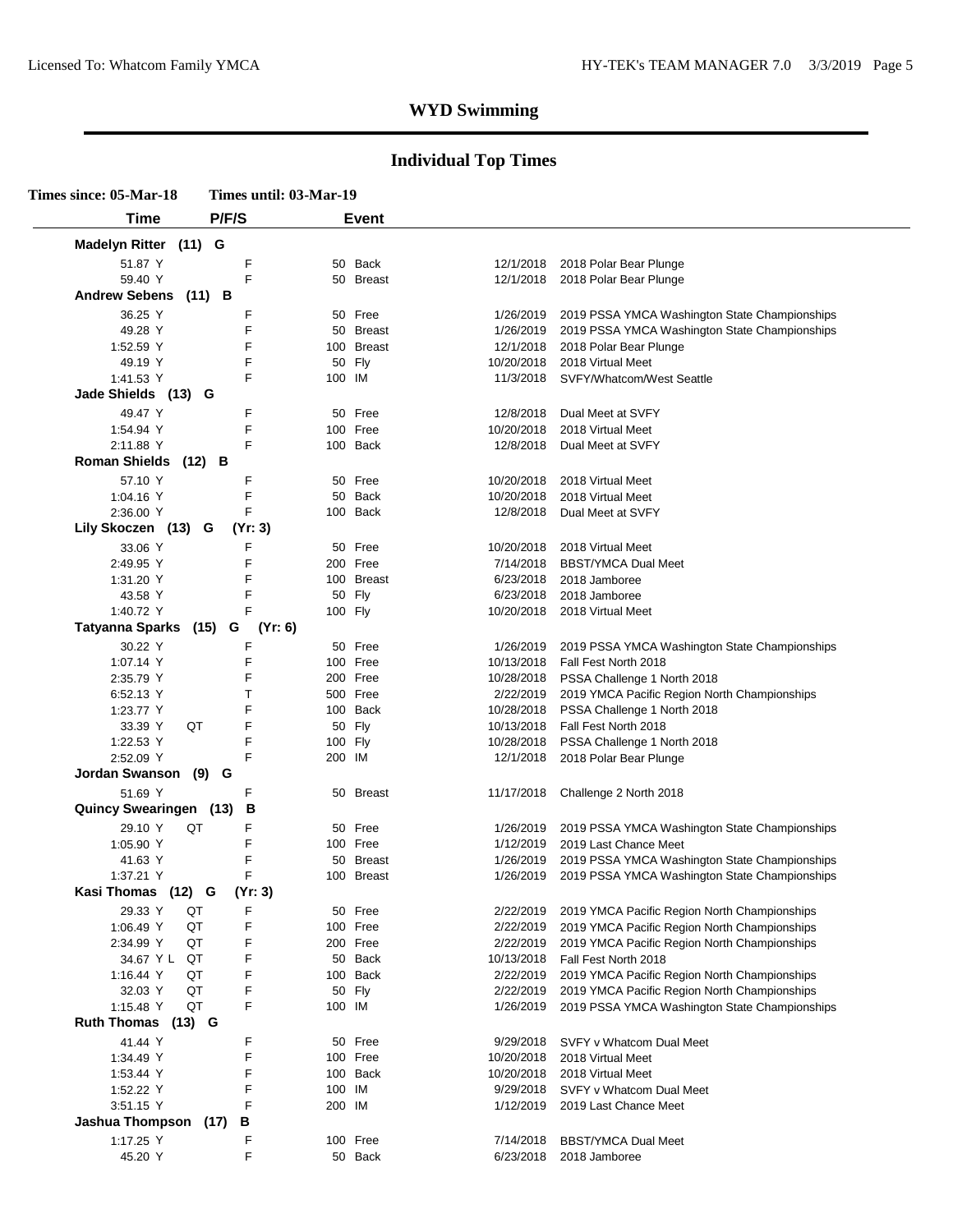| Time                              | P/F/S               | <b>Event</b>            |                         |                                                                             |
|-----------------------------------|---------------------|-------------------------|-------------------------|-----------------------------------------------------------------------------|
| Madelyn Ritter (11) G             |                     |                         |                         |                                                                             |
| 51.87 Y                           | F                   | 50 Back                 | 12/1/2018               | 2018 Polar Bear Plunge                                                      |
| 59.40 Y                           | F                   | 50 Breast               | 12/1/2018               | 2018 Polar Bear Plunge                                                      |
| <b>Andrew Sebens</b>              | $(11)$ B            |                         |                         |                                                                             |
| 36.25 Y                           | F                   | 50 Free                 | 1/26/2019               | 2019 PSSA YMCA Washington State Championships                               |
| 49.28 Y                           | F                   | 50 Breast               | 1/26/2019               | 2019 PSSA YMCA Washington State Championships                               |
| 1:52.59 Y                         | F                   | 100 Breast              | 12/1/2018               | 2018 Polar Bear Plunge                                                      |
| 49.19 Y                           | F                   | 50 Fly                  | 10/20/2018              | 2018 Virtual Meet                                                           |
| 1:41.53 Y                         | F                   | 100 IM                  | 11/3/2018               | SVFY/Whatcom/West Seattle                                                   |
| Jade Shields (13)                 | G                   |                         |                         |                                                                             |
| 49.47 Y                           | F                   | 50 Free                 | 12/8/2018               | Dual Meet at SVFY                                                           |
| 1:54.94 Y                         | F                   | 100 Free                | 10/20/2018              | 2018 Virtual Meet                                                           |
| 2:11.88 Y                         | F                   | 100 Back                | 12/8/2018               | Dual Meet at SVFY                                                           |
| <b>Roman Shields</b>              | $(12)$ B            |                         |                         |                                                                             |
| 57.10 Y                           | F                   | 50 Free                 | 10/20/2018              | 2018 Virtual Meet                                                           |
| 1:04.16 $Y$                       | F                   | 50 Back                 | 10/20/2018              | 2018 Virtual Meet                                                           |
| 2:36.00 Y                         | F                   | 100 Back                | 12/8/2018               | Dual Meet at SVFY                                                           |
| Lily Skoczen (13) G               | (Yr: 3)             |                         |                         |                                                                             |
|                                   |                     |                         |                         |                                                                             |
| 33.06 Y                           | F<br>F              | 50 Free<br>200 Free     | 10/20/2018<br>7/14/2018 | 2018 Virtual Meet<br><b>BBST/YMCA Dual Meet</b>                             |
| 2:49.95 Y<br>1:31.20 Y            | F                   | 100 Breast              | 6/23/2018               | 2018 Jamboree                                                               |
| 43.58 Y                           | F                   | 50 Fly                  | 6/23/2018               | 2018 Jamboree                                                               |
| 1:40.72 Y                         | F                   | 100 Fly                 | 10/20/2018              | 2018 Virtual Meet                                                           |
| <b>Tatyanna Sparks</b>            | $(15)$ G<br>(Yr: 6) |                         |                         |                                                                             |
|                                   |                     |                         |                         |                                                                             |
| 30.22 Y                           | F                   | 50 Free                 | 1/26/2019               | 2019 PSSA YMCA Washington State Championships                               |
| 1:07.14 Y                         | F<br>F              | 100 Free<br>200 Free    | 10/13/2018              | Fall Fest North 2018                                                        |
| 2:35.79 Y                         | т                   | 500 Free                | 10/28/2018<br>2/22/2019 | PSSA Challenge 1 North 2018                                                 |
| 6:52.13 Y<br>1:23.77 Y            | F                   | 100 Back                | 10/28/2018              | 2019 YMCA Pacific Region North Championships<br>PSSA Challenge 1 North 2018 |
| 33.39 Y                           | F<br>QT             | 50 Fly                  | 10/13/2018              | Fall Fest North 2018                                                        |
| 1:22.53 Y                         | F                   | 100 Fly                 | 10/28/2018              | PSSA Challenge 1 North 2018                                                 |
| 2:52.09 Y                         | F                   | 200 IM                  | 12/1/2018               | 2018 Polar Bear Plunge                                                      |
| Jordan Swanson (9) G              |                     |                         |                         |                                                                             |
| 51.69 Y                           |                     |                         |                         |                                                                             |
| <b>Quincy Swearingen (13)</b>     | F<br>В              | 50 Breast               | 11/17/2018              | Challenge 2 North 2018                                                      |
|                                   |                     |                         |                         |                                                                             |
| 29.10 Y                           | QT<br>F             | 50 Free                 | 1/26/2019               | 2019 PSSA YMCA Washington State Championships                               |
| 1:05.90 Y                         | F<br>F              | 100 Free                | 1/12/2019               | 2019 Last Chance Meet                                                       |
| 41.63 Y<br>1:37.21 Y              | F                   | 50 Breast<br>100 Breast | 1/26/2019               | 2019 PSSA YMCA Washington State Championships                               |
| Kasi Thomas (12) G                | (Yr: 3)             |                         | 1/26/2019               | 2019 PSSA YMCA Washington State Championships                               |
|                                   |                     |                         |                         |                                                                             |
| 29.33 Y QT                        | F.                  | 50 Free                 | 2/22/2019               | 2019 YMCA Pacific Region North Championships                                |
| 1:06.49 Y                         | F<br>QT             | 100 Free                | 2/22/2019               | 2019 YMCA Pacific Region North Championships                                |
| 2:34.99 Y                         | F<br>QT<br>F        | 200 Free                | 2/22/2019               | 2019 YMCA Pacific Region North Championships                                |
| 34.67 Y L<br>1:16.44 Y            | QT<br>F<br>QT       | 50 Back<br>100 Back     | 10/13/2018<br>2/22/2019 | Fall Fest North 2018<br>2019 YMCA Pacific Region North Championships        |
| 32.03 Y                           | QT<br>F             | 50 Fly                  | 2/22/2019               | 2019 YMCA Pacific Region North Championships                                |
| 1:15.48 Y                         | F<br>QT             | 100 IM                  | 1/26/2019               | 2019 PSSA YMCA Washington State Championships                               |
| Ruth Thomas (13) G                |                     |                         |                         |                                                                             |
|                                   |                     |                         |                         |                                                                             |
| 41.44 Y                           | F                   | 50 Free                 | 9/29/2018               | SVFY v Whatcom Dual Meet                                                    |
| 1:34.49 Y                         | F                   | 100 Free                | 10/20/2018              | 2018 Virtual Meet                                                           |
| 1:53.44 Y                         | F<br>F              | 100 Back                | 10/20/2018<br>9/29/2018 | 2018 Virtual Meet                                                           |
| 1:52.22 Y                         | F                   | 100 IM                  |                         | SVFY v Whatcom Dual Meet                                                    |
| 3:51.15 Y<br>Jashua Thompson (17) | В                   | 200 IM                  | 1/12/2019               | 2019 Last Chance Meet                                                       |
|                                   |                     |                         |                         |                                                                             |
| 1:17.25 Y                         | F                   | 100 Free                | 7/14/2018               | <b>BBST/YMCA Dual Meet</b>                                                  |
| 45.20 Y                           | F                   | 50 Back                 | 6/23/2018               | 2018 Jamboree                                                               |